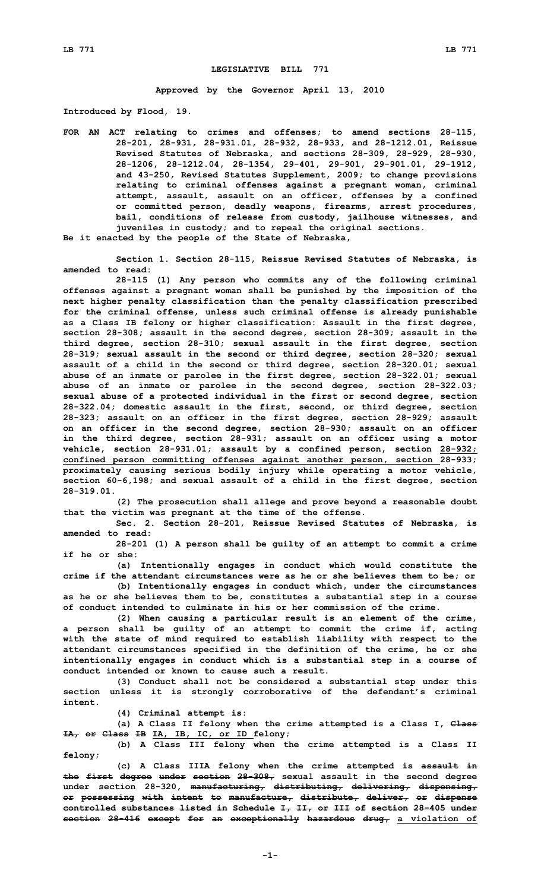## **LEGISLATIVE BILL 771**

**Approved by the Governor April 13, 2010**

**Introduced by Flood, 19.**

**FOR AN ACT relating to crimes and offenses; to amend sections 28-115, 28-201, 28-931, 28-931.01, 28-932, 28-933, and 28-1212.01, Reissue Revised Statutes of Nebraska, and sections 28-309, 28-929, 28-930, 28-1206, 28-1212.04, 28-1354, 29-401, 29-901, 29-901.01, 29-1912, and 43-250, Revised Statutes Supplement, 2009; to change provisions relating to criminal offenses against <sup>a</sup> pregnant woman, criminal attempt, assault, assault on an officer, offenses by <sup>a</sup> confined or committed person, deadly weapons, firearms, arrest procedures, bail, conditions of release from custody, jailhouse witnesses, and juveniles in custody; and to repeal the original sections.**

**Be it enacted by the people of the State of Nebraska,**

**Section 1. Section 28-115, Reissue Revised Statutes of Nebraska, is amended to read:**

**28-115 (1) Any person who commits any of the following criminal offenses against <sup>a</sup> pregnant woman shall be punished by the imposition of the next higher penalty classification than the penalty classification prescribed for the criminal offense, unless such criminal offense is already punishable as <sup>a</sup> Class IB felony or higher classification: Assault in the first degree, section 28-308; assault in the second degree, section 28-309; assault in the third degree, section 28-310; sexual assault in the first degree, section 28-319; sexual assault in the second or third degree, section 28-320; sexual assault of <sup>a</sup> child in the second or third degree, section 28-320.01; sexual abuse of an inmate or parolee in the first degree, section 28-322.01; sexual abuse of an inmate or parolee in the second degree, section 28-322.03; sexual abuse of <sup>a</sup> protected individual in the first or second degree, section 28-322.04; domestic assault in the first, second, or third degree, section 28-323; assault on an officer in the first degree, section 28-929; assault on an officer in the second degree, section 28-930; assault on an officer in the third degree, section 28-931; assault on an officer using <sup>a</sup> motor vehicle, section 28-931.01; assault by <sup>a</sup> confined person, section 28-932; confined person committing offenses against another person, section 28-933; proximately causing serious bodily injury while operating <sup>a</sup> motor vehicle, section 60-6,198; and sexual assault of <sup>a</sup> child in the first degree, section 28-319.01.**

**(2) The prosecution shall allege and prove beyond <sup>a</sup> reasonable doubt that the victim was pregnant at the time of the offense.**

**Sec. 2. Section 28-201, Reissue Revised Statutes of Nebraska, is amended to read:**

**28-201 (1) <sup>A</sup> person shall be guilty of an attempt to commit <sup>a</sup> crime if he or she:**

**(a) Intentionally engages in conduct which would constitute the crime if the attendant circumstances were as he or she believes them to be; or**

**(b) Intentionally engages in conduct which, under the circumstances as he or she believes them to be, constitutes <sup>a</sup> substantial step in <sup>a</sup> course of conduct intended to culminate in his or her commission of the crime.**

**(2) When causing <sup>a</sup> particular result is an element of the crime, <sup>a</sup> person shall be guilty of an attempt to commit the crime if, acting with the state of mind required to establish liability with respect to the attendant circumstances specified in the definition of the crime, he or she intentionally engages in conduct which is <sup>a</sup> substantial step in <sup>a</sup> course of conduct intended or known to cause such a result.**

**(3) Conduct shall not be considered <sup>a</sup> substantial step under this section unless it is strongly corroborative of the defendant's criminal intent.**

**(4) Criminal attempt is:**

**(a) <sup>A</sup> Class II felony when the crime attempted is <sup>a</sup> Class I, Class IA, or Class IB IA, IB, IC, or ID felony;**

**(b) <sup>A</sup> Class III felony when the crime attempted is <sup>a</sup> Class II felony;**

**(c) <sup>A</sup> Class IIIA felony when the crime attempted is assault in the first degree under section 28-308, sexual assault in the second degree under section 28-320, manufacturing, distributing, delivering, dispensing, or possessing with intent to manufacture, distribute, deliver, or dispense controlled substances listed in Schedule I, II, or III of section 28-405 under section 28-416 except for an exceptionally hazardous drug, <sup>a</sup> violation of**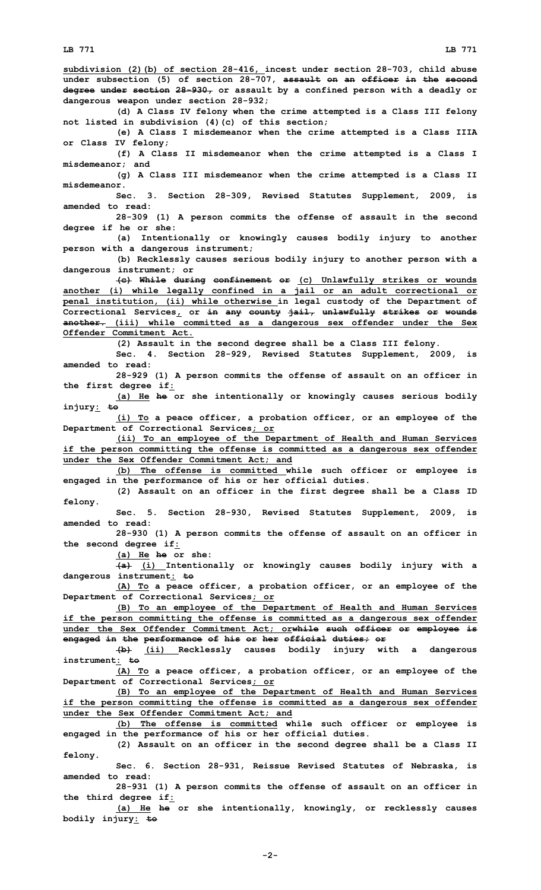**subdivision (2)(b) of section 28-416, incest under section 28-703, child abuse under subsection (5) of section 28-707, assault on an officer in the second degree under section 28-930, or assault by <sup>a</sup> confined person with <sup>a</sup> deadly or dangerous weapon under section 28-932; (d) <sup>A</sup> Class IV felony when the crime attempted is <sup>a</sup> Class III felony not listed in subdivision (4)(c) of this section; (e) <sup>A</sup> Class <sup>I</sup> misdemeanor when the crime attempted is <sup>a</sup> Class IIIA or Class IV felony; (f) <sup>A</sup> Class II misdemeanor when the crime attempted is <sup>a</sup> Class <sup>I</sup> misdemeanor; and (g) <sup>A</sup> Class III misdemeanor when the crime attempted is <sup>a</sup> Class II misdemeanor. Sec. 3. Section 28-309, Revised Statutes Supplement, 2009, is amended to read: 28-309 (1) <sup>A</sup> person commits the offense of assault in the second degree if he or she: (a) Intentionally or knowingly causes bodily injury to another person with <sup>a</sup> dangerous instrument; (b) Recklessly causes serious bodily injury to another person with <sup>a</sup> dangerous instrument; or (c) While during confinement or (c) Unlawfully strikes or wounds another (i) while legally confined in <sup>a</sup> jail or an adult correctional or penal institution, (ii) while otherwise in legal custody of the Department of Correctional Services, or in any county jail, unlawfully strikes or wounds another. (iii) while committed as <sup>a</sup> dangerous sex offender under the Sex Offender Commitment Act. (2) Assault in the second degree shall be <sup>a</sup> Class III felony. Sec. 4. Section 28-929, Revised Statutes Supplement, 2009, is amended to read: 28-929 (1) <sup>A</sup> person commits the offense of assault on an officer in the first degree if: (a) He he or she intentionally or knowingly causes serious bodily injury: to (i) To <sup>a</sup> peace officer, <sup>a</sup> probation officer, or an employee of the Department of Correctional Services; or (ii) To an employee of the Department of Health and Human Services if the person committing the offense is committed as <sup>a</sup> dangerous sex offender under the Sex Offender Commitment Act; and (b) The offense is committed while such officer or employee is engaged in the performance of his or her official duties. (2) Assault on an officer in the first degree shall be <sup>a</sup> Class ID felony. Sec. 5. Section 28-930, Revised Statutes Supplement, 2009, is amended to read: 28-930 (1) <sup>A</sup> person commits the offense of assault on an officer in the second degree if: (a) He he or she: (a) (i) Intentionally or knowingly causes bodily injury with <sup>a</sup> dangerous instrument: to (A) To <sup>a</sup> peace officer, <sup>a</sup> probation officer, or an employee of the Department of Correctional Services; or (B) To an employee of the Department of Health and Human Services if the person committing the offense is committed as <sup>a</sup> dangerous sex offender under the Sex Offender Commitment Act; orwhile such officer or employee is engaged in the performance of his or her official duties; or (b) (ii) Recklessly causes bodily injury with <sup>a</sup> dangerous instrument: to (A) To <sup>a</sup> peace officer, <sup>a</sup> probation officer, or an employee of the Department of Correctional Services; or (B) To an employee of the Department of Health and Human Services if the person committing the offense is committed as <sup>a</sup> dangerous sex offender under the Sex Offender Commitment Act; and (b) The offense is committed while such officer or employee is engaged in the performance of his or her official duties. (2) Assault on an officer in the second degree shall be <sup>a</sup> Class II felony. Sec. 6. Section 28-931, Reissue Revised Statutes of Nebraska, is amended to read: 28-931 (1) <sup>A</sup> person commits the offense of assault on an officer in the third degree if: (a) He he or she intentionally, knowingly, or recklessly causes bodily injury: to**

**-2-**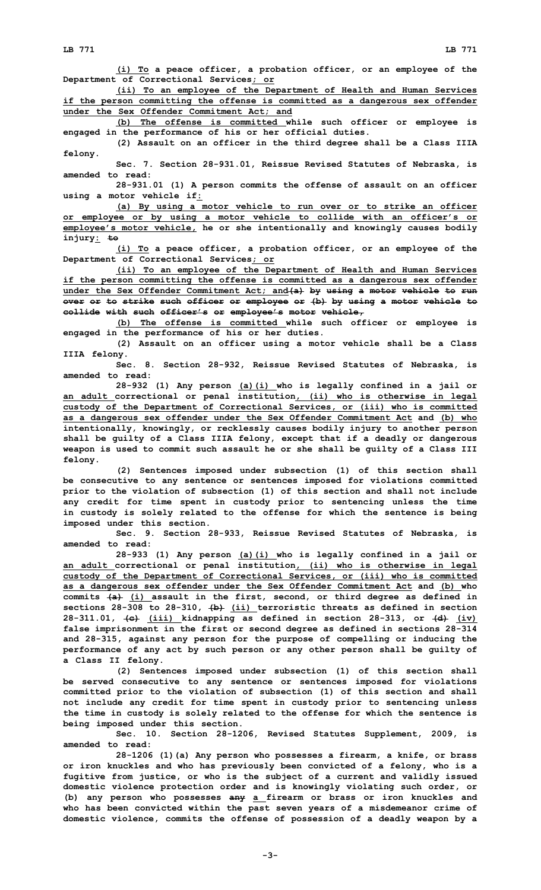**(i) To <sup>a</sup> peace officer, <sup>a</sup> probation officer, or an employee of the Department of Correctional Services; or**

**(ii) To an employee of the Department of Health and Human Services if the person committing the offense is committed as <sup>a</sup> dangerous sex offender under the Sex Offender Commitment Act; and**

**(b) The offense is committed while such officer or employee is engaged in the performance of his or her official duties.**

**(2) Assault on an officer in the third degree shall be <sup>a</sup> Class IIIA felony.**

**Sec. 7. Section 28-931.01, Reissue Revised Statutes of Nebraska, is amended to read:**

**28-931.01 (1) <sup>A</sup> person commits the offense of assault on an officer using <sup>a</sup> motor vehicle if:**

**(a) By using <sup>a</sup> motor vehicle to run over or to strike an officer or employee or by using <sup>a</sup> motor vehicle to collide with an officer's or employee's motor vehicle, he or she intentionally and knowingly causes bodily injury: to**

**(i) To <sup>a</sup> peace officer, <sup>a</sup> probation officer, or an employee of the Department of Correctional Services; or**

**(ii) To an employee of the Department of Health and Human Services if the person committing the offense is committed as <sup>a</sup> dangerous sex offender under the Sex Offender Commitment Act; and(a) by using <sup>a</sup> motor vehicle to run over or to strike such officer or employee or (b) by using <sup>a</sup> motor vehicle to collide with such officer's or employee's motor vehicle,**

**(b) The offense is committed while such officer or employee is engaged in the performance of his or her duties.**

**(2) Assault on an officer using <sup>a</sup> motor vehicle shall be <sup>a</sup> Class IIIA felony.**

**Sec. 8. Section 28-932, Reissue Revised Statutes of Nebraska, is amended to read:**

**28-932 (1) Any person (a)(i) who is legally confined in <sup>a</sup> jail or an adult correctional or penal institution, (ii) who is otherwise in legal custody of the Department of Correctional Services, or (iii) who is committed as <sup>a</sup> dangerous sex offender under the Sex Offender Commitment Act and (b) who intentionally, knowingly, or recklessly causes bodily injury to another person shall be guilty of <sup>a</sup> Class IIIA felony, except that if <sup>a</sup> deadly or dangerous weapon is used to commit such assault he or she shall be guilty of <sup>a</sup> Class III felony.**

**(2) Sentences imposed under subsection (1) of this section shall be consecutive to any sentence or sentences imposed for violations committed prior to the violation of subsection (1) of this section and shall not include any credit for time spent in custody prior to sentencing unless the time in custody is solely related to the offense for which the sentence is being imposed under this section.**

**Sec. 9. Section 28-933, Reissue Revised Statutes of Nebraska, is amended to read:**

**28-933 (1) Any person (a)(i) who is legally confined in <sup>a</sup> jail or an adult correctional or penal institution, (ii) who is otherwise in legal custody of the Department of Correctional Services, or (iii) who is committed as <sup>a</sup> dangerous sex offender under the Sex Offender Commitment Act and (b) who commits (a) (i) assault in the first, second, or third degree as defined in sections 28-308 to 28-310, (b) (ii) terroristic threats as defined in section 28-311.01, (c) (iii) kidnapping as defined in section 28-313, or (d) (iv) false imprisonment in the first or second degree as defined in sections 28-314 and 28-315, against any person for the purpose of compelling or inducing the performance of any act by such person or any other person shall be guilty of <sup>a</sup> Class II felony.**

**(2) Sentences imposed under subsection (1) of this section shall be served consecutive to any sentence or sentences imposed for violations committed prior to the violation of subsection (1) of this section and shall not include any credit for time spent in custody prior to sentencing unless the time in custody is solely related to the offense for which the sentence is being imposed under this section.**

**Sec. 10. Section 28-1206, Revised Statutes Supplement, 2009, is amended to read:**

**28-1206 (1)(a) Any person who possesses <sup>a</sup> firearm, <sup>a</sup> knife, or brass or iron knuckles and who has previously been convicted of <sup>a</sup> felony, who is <sup>a</sup> fugitive from justice, or who is the subject of <sup>a</sup> current and validly issued domestic violence protection order and is knowingly violating such order, or (b) any person who possesses any <sup>a</sup> firearm or brass or iron knuckles and who has been convicted within the past seven years of <sup>a</sup> misdemeanor crime of domestic violence, commits the offense of possession of <sup>a</sup> deadly weapon by <sup>a</sup>**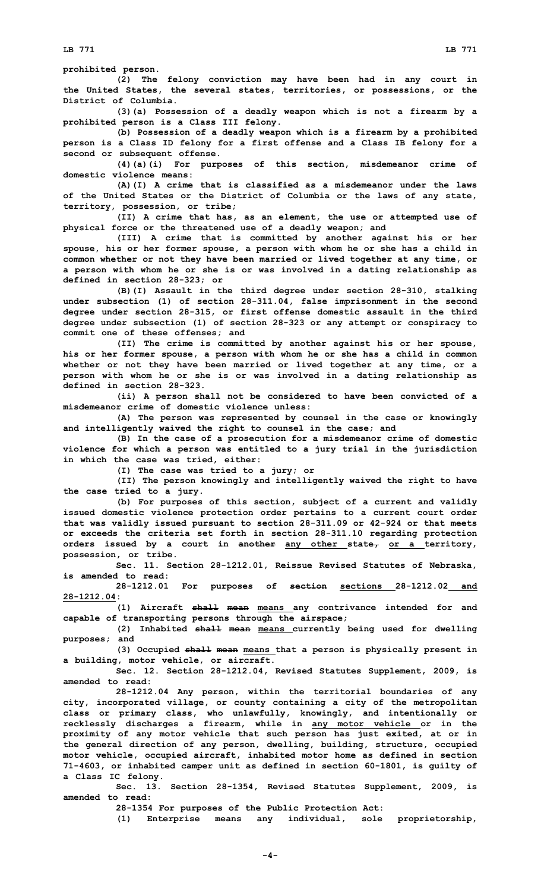**prohibited person.**

**(2) The felony conviction may have been had in any court in the United States, the several states, territories, or possessions, or the District of Columbia.**

**(3)(a) Possession of <sup>a</sup> deadly weapon which is not <sup>a</sup> firearm by <sup>a</sup> prohibited person is <sup>a</sup> Class III felony.**

**(b) Possession of <sup>a</sup> deadly weapon which is <sup>a</sup> firearm by <sup>a</sup> prohibited person is <sup>a</sup> Class ID felony for <sup>a</sup> first offense and <sup>a</sup> Class IB felony for <sup>a</sup> second or subsequent offense.**

**(4)(a)(i) For purposes of this section, misdemeanor crime of domestic violence means:**

**(A)(I) A crime that is classified as <sup>a</sup> misdemeanor under the laws of the United States or the District of Columbia or the laws of any state, territory, possession, or tribe;**

**(II) <sup>A</sup> crime that has, as an element, the use or attempted use of physical force or the threatened use of <sup>a</sup> deadly weapon; and**

**(III) <sup>A</sup> crime that is committed by another against his or her spouse, his or her former spouse, <sup>a</sup> person with whom he or she has <sup>a</sup> child in common whether or not they have been married or lived together at any time, or <sup>a</sup> person with whom he or she is or was involved in <sup>a</sup> dating relationship as defined in section 28-323; or**

**(B)(I) Assault in the third degree under section 28-310, stalking under subsection (1) of section 28-311.04, false imprisonment in the second degree under section 28-315, or first offense domestic assault in the third degree under subsection (1) of section 28-323 or any attempt or conspiracy to commit one of these offenses; and**

**(II) The crime is committed by another against his or her spouse, his or her former spouse, <sup>a</sup> person with whom he or she has <sup>a</sup> child in common whether or not they have been married or lived together at any time, or <sup>a</sup> person with whom he or she is or was involved in <sup>a</sup> dating relationship as defined in section 28-323.**

**(ii) <sup>A</sup> person shall not be considered to have been convicted of <sup>a</sup> misdemeanor crime of domestic violence unless:**

**(A) The person was represented by counsel in the case or knowingly and intelligently waived the right to counsel in the case; and**

**(B) In the case of <sup>a</sup> prosecution for <sup>a</sup> misdemeanor crime of domestic violence for which <sup>a</sup> person was entitled to <sup>a</sup> jury trial in the jurisdiction in which the case was tried, either:**

**(I) The case was tried to <sup>a</sup> jury; or**

**(II) The person knowingly and intelligently waived the right to have the case tried to <sup>a</sup> jury.**

**(b) For purposes of this section, subject of <sup>a</sup> current and validly issued domestic violence protection order pertains to <sup>a</sup> current court order that was validly issued pursuant to section 28-311.09 or 42-924 or that meets or exceeds the criteria set forth in section 28-311.10 regarding protection orders issued by <sup>a</sup> court in another any other state, or <sup>a</sup> territory, possession, or tribe.**

**Sec. 11. Section 28-1212.01, Reissue Revised Statutes of Nebraska, is amended to read:**

**28-1212.01 For purposes of section sections 28-1212.02 and 28-1212.04:**

**(1) Aircraft shall mean means any contrivance intended for and capable of transporting persons through the airspace;**

**(2) Inhabited shall mean means currently being used for dwelling purposes; and**

**(3) Occupied shall mean means that <sup>a</sup> person is physically present in <sup>a</sup> building, motor vehicle, or aircraft.**

**Sec. 12. Section 28-1212.04, Revised Statutes Supplement, 2009, is amended to read:**

**28-1212.04 Any person, within the territorial boundaries of any city, incorporated village, or county containing <sup>a</sup> city of the metropolitan class or primary class, who unlawfully, knowingly, and intentionally or recklessly discharges <sup>a</sup> firearm, while in any motor vehicle or in the proximity of any motor vehicle that such person has just exited, at or in the general direction of any person, dwelling, building, structure, occupied motor vehicle, occupied aircraft, inhabited motor home as defined in section 71-4603, or inhabited camper unit as defined in section 60-1801, is guilty of <sup>a</sup> Class IC felony.**

**Sec. 13. Section 28-1354, Revised Statutes Supplement, 2009, is amended to read:**

**28-1354 For purposes of the Public Protection Act:**

**(1) Enterprise means any individual, sole proprietorship,**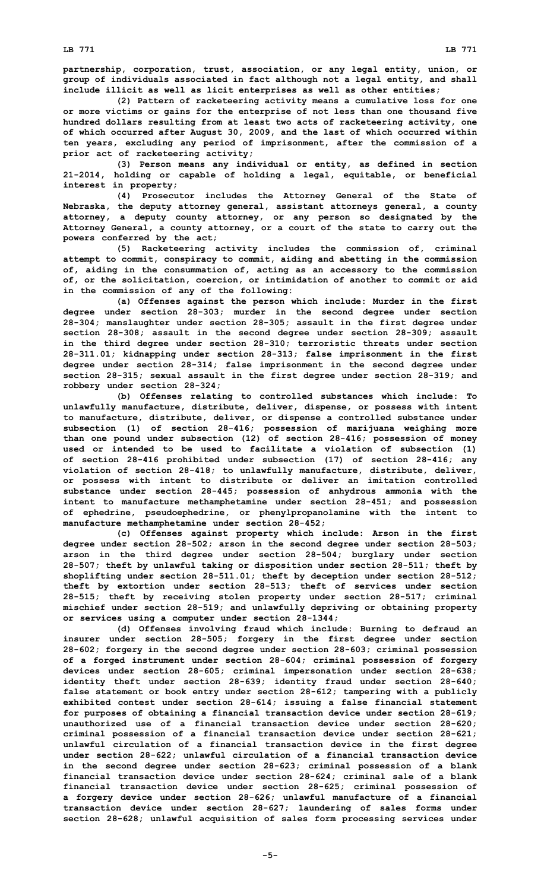**partnership, corporation, trust, association, or any legal entity, union, or group of individuals associated in fact although not <sup>a</sup> legal entity, and shall include illicit as well as licit enterprises as well as other entities;**

**(2) Pattern of racketeering activity means <sup>a</sup> cumulative loss for one or more victims or gains for the enterprise of not less than one thousand five hundred dollars resulting from at least two acts of racketeering activity, one of which occurred after August 30, 2009, and the last of which occurred within ten years, excluding any period of imprisonment, after the commission of <sup>a</sup> prior act of racketeering activity;**

**(3) Person means any individual or entity, as defined in section 21-2014, holding or capable of holding <sup>a</sup> legal, equitable, or beneficial interest in property;**

**(4) Prosecutor includes the Attorney General of the State of Nebraska, the deputy attorney general, assistant attorneys general, <sup>a</sup> county attorney, <sup>a</sup> deputy county attorney, or any person so designated by the Attorney General, <sup>a</sup> county attorney, or <sup>a</sup> court of the state to carry out the powers conferred by the act;**

**(5) Racketeering activity includes the commission of, criminal attempt to commit, conspiracy to commit, aiding and abetting in the commission of, aiding in the consummation of, acting as an accessory to the commission of, or the solicitation, coercion, or intimidation of another to commit or aid in the commission of any of the following:**

**(a) Offenses against the person which include: Murder in the first degree under section 28-303; murder in the second degree under section 28-304; manslaughter under section 28-305; assault in the first degree under section 28-308; assault in the second degree under section 28-309; assault in the third degree under section 28-310; terroristic threats under section 28-311.01; kidnapping under section 28-313; false imprisonment in the first degree under section 28-314; false imprisonment in the second degree under section 28-315; sexual assault in the first degree under section 28-319; and robbery under section 28-324;**

**(b) Offenses relating to controlled substances which include: To unlawfully manufacture, distribute, deliver, dispense, or possess with intent to manufacture, distribute, deliver, or dispense <sup>a</sup> controlled substance under subsection (1) of section 28-416; possession of marijuana weighing more than one pound under subsection (12) of section 28-416; possession of money used or intended to be used to facilitate <sup>a</sup> violation of subsection (1) of section 28-416 prohibited under subsection (17) of section 28-416; any violation of section 28-418; to unlawfully manufacture, distribute, deliver, or possess with intent to distribute or deliver an imitation controlled substance under section 28-445; possession of anhydrous ammonia with the intent to manufacture methamphetamine under section 28-451; and possession of ephedrine, pseudoephedrine, or phenylpropanolamine with the intent to manufacture methamphetamine under section 28-452;**

**(c) Offenses against property which include: Arson in the first degree under section 28-502; arson in the second degree under section 28-503; arson in the third degree under section 28-504; burglary under section 28-507; theft by unlawful taking or disposition under section 28-511; theft by shoplifting under section 28-511.01; theft by deception under section 28-512; theft by extortion under section 28-513; theft of services under section 28-515; theft by receiving stolen property under section 28-517; criminal mischief under section 28-519; and unlawfully depriving or obtaining property or services using <sup>a</sup> computer under section 28-1344;**

**(d) Offenses involving fraud which include: Burning to defraud an insurer under section 28-505; forgery in the first degree under section 28-602; forgery in the second degree under section 28-603; criminal possession of <sup>a</sup> forged instrument under section 28-604; criminal possession of forgery devices under section 28-605; criminal impersonation under section 28-638; identity theft under section 28-639; identity fraud under section 28-640; false statement or book entry under section 28-612; tampering with <sup>a</sup> publicly exhibited contest under section 28-614; issuing <sup>a</sup> false financial statement for purposes of obtaining <sup>a</sup> financial transaction device under section 28-619; unauthorized use of <sup>a</sup> financial transaction device under section 28-620; criminal possession of <sup>a</sup> financial transaction device under section 28-621; unlawful circulation of <sup>a</sup> financial transaction device in the first degree under section 28-622; unlawful circulation of <sup>a</sup> financial transaction device in the second degree under section 28-623; criminal possession of <sup>a</sup> blank financial transaction device under section 28-624; criminal sale of <sup>a</sup> blank financial transaction device under section 28-625; criminal possession of <sup>a</sup> forgery device under section 28-626; unlawful manufacture of <sup>a</sup> financial transaction device under section 28-627; laundering of sales forms under section 28-628; unlawful acquisition of sales form processing services under**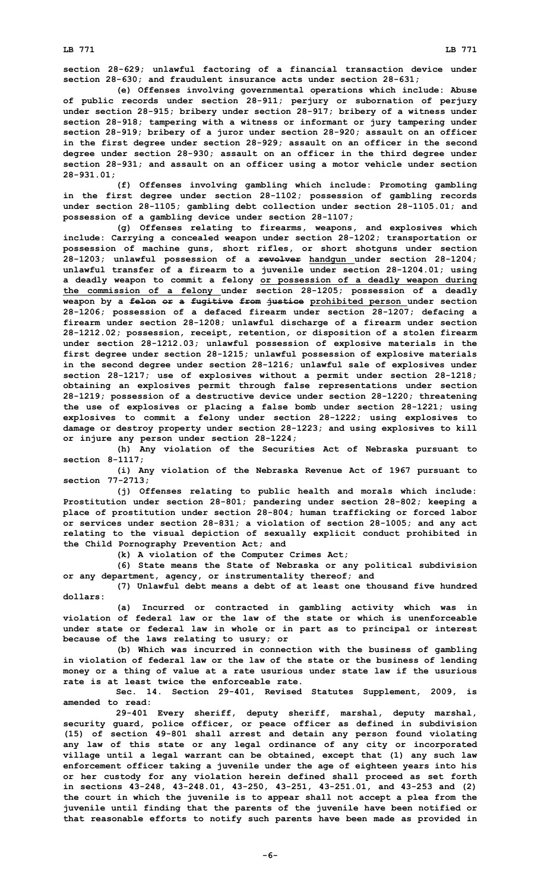**section 28-629; unlawful factoring of <sup>a</sup> financial transaction device under section 28-630; and fraudulent insurance acts under section 28-631;**

**(e) Offenses involving governmental operations which include: Abuse of public records under section 28-911; perjury or subornation of perjury under section 28-915; bribery under section 28-917; bribery of <sup>a</sup> witness under section 28-918; tampering with <sup>a</sup> witness or informant or jury tampering under section 28-919; bribery of <sup>a</sup> juror under section 28-920; assault on an officer in the first degree under section 28-929; assault on an officer in the second degree under section 28-930; assault on an officer in the third degree under section 28-931; and assault on an officer using <sup>a</sup> motor vehicle under section 28-931.01;**

**(f) Offenses involving gambling which include: Promoting gambling in the first degree under section 28-1102; possession of gambling records under section 28-1105; gambling debt collection under section 28-1105.01; and possession of <sup>a</sup> gambling device under section 28-1107;**

**(g) Offenses relating to firearms, weapons, and explosives which include: Carrying <sup>a</sup> concealed weapon under section 28-1202; transportation or possession of machine guns, short rifles, or short shotguns under section 28-1203; unlawful possession of <sup>a</sup> revolver handgun under section 28-1204; unlawful transfer of <sup>a</sup> firearm to <sup>a</sup> juvenile under section 28-1204.01; using <sup>a</sup> deadly weapon to commit <sup>a</sup> felony or possession of <sup>a</sup> deadly weapon during the commission of <sup>a</sup> felony under section 28-1205; possession of <sup>a</sup> deadly weapon by <sup>a</sup> felon or <sup>a</sup> fugitive from justice prohibited person under section 28-1206; possession of <sup>a</sup> defaced firearm under section 28-1207; defacing <sup>a</sup> firearm under section 28-1208; unlawful discharge of <sup>a</sup> firearm under section 28-1212.02; possession, receipt, retention, or disposition of <sup>a</sup> stolen firearm under section 28-1212.03; unlawful possession of explosive materials in the first degree under section 28-1215; unlawful possession of explosive materials in the second degree under section 28-1216; unlawful sale of explosives under section 28-1217; use of explosives without <sup>a</sup> permit under section 28-1218; obtaining an explosives permit through false representations under section 28-1219; possession of <sup>a</sup> destructive device under section 28-1220; threatening the use of explosives or placing <sup>a</sup> false bomb under section 28-1221; using explosives to commit <sup>a</sup> felony under section 28-1222; using explosives to damage or destroy property under section 28-1223; and using explosives to kill or injure any person under section 28-1224;**

**(h) Any violation of the Securities Act of Nebraska pursuant to section 8-1117;**

**(i) Any violation of the Nebraska Revenue Act of 1967 pursuant to section 77-2713;**

**(j) Offenses relating to public health and morals which include: Prostitution under section 28-801; pandering under section 28-802; keeping <sup>a</sup> place of prostitution under section 28-804; human trafficking or forced labor or services under section 28-831; <sup>a</sup> violation of section 28-1005; and any act relating to the visual depiction of sexually explicit conduct prohibited in the Child Pornography Prevention Act; and**

**(k) <sup>A</sup> violation of the Computer Crimes Act;**

**(6) State means the State of Nebraska or any political subdivision or any department, agency, or instrumentality thereof; and**

**(7) Unlawful debt means <sup>a</sup> debt of at least one thousand five hundred dollars:**

**(a) Incurred or contracted in gambling activity which was in violation of federal law or the law of the state or which is unenforceable under state or federal law in whole or in part as to principal or interest because of the laws relating to usury; or**

**(b) Which was incurred in connection with the business of gambling in violation of federal law or the law of the state or the business of lending money or <sup>a</sup> thing of value at <sup>a</sup> rate usurious under state law if the usurious rate is at least twice the enforceable rate.**

**Sec. 14. Section 29-401, Revised Statutes Supplement, 2009, is amended to read:**

**29-401 Every sheriff, deputy sheriff, marshal, deputy marshal, security guard, police officer, or peace officer as defined in subdivision (15) of section 49-801 shall arrest and detain any person found violating any law of this state or any legal ordinance of any city or incorporated village until <sup>a</sup> legal warrant can be obtained, except that (1) any such law enforcement officer taking <sup>a</sup> juvenile under the age of eighteen years into his or her custody for any violation herein defined shall proceed as set forth in sections 43-248, 43-248.01, 43-250, 43-251, 43-251.01, and 43-253 and (2) the court in which the juvenile is to appear shall not accept <sup>a</sup> plea from the juvenile until finding that the parents of the juvenile have been notified or that reasonable efforts to notify such parents have been made as provided in**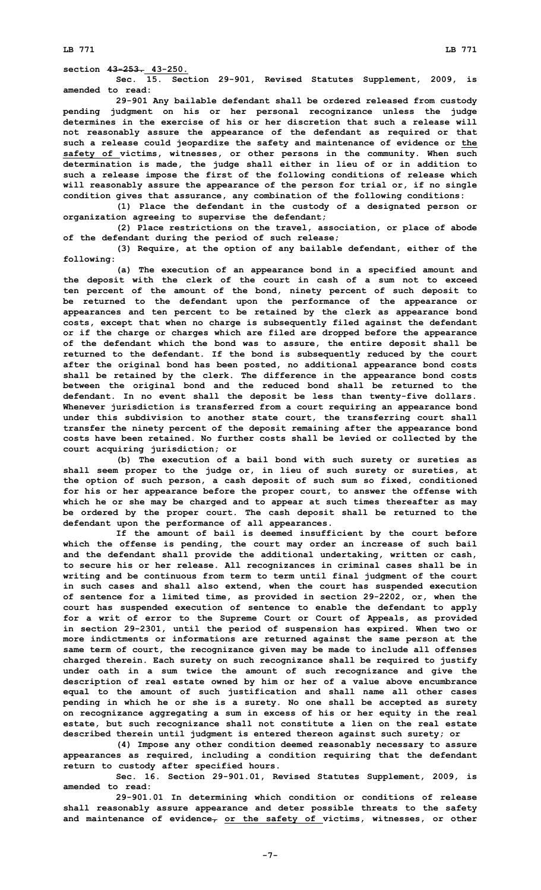**Sec. 15. Section 29-901, Revised Statutes Supplement, 2009, is amended to read:**

**29-901 Any bailable defendant shall be ordered released from custody pending judgment on his or her personal recognizance unless the judge determines in the exercise of his or her discretion that such a release will not reasonably assure the appearance of the defendant as required or that such <sup>a</sup> release could jeopardize the safety and maintenance of evidence or the safety of victims, witnesses, or other persons in the community. When such determination is made, the judge shall either in lieu of or in addition to such <sup>a</sup> release impose the first of the following conditions of release which will reasonably assure the appearance of the person for trial or, if no single condition gives that assurance, any combination of the following conditions:**

**(1) Place the defendant in the custody of <sup>a</sup> designated person or organization agreeing to supervise the defendant;**

**(2) Place restrictions on the travel, association, or place of abode of the defendant during the period of such release;**

**(3) Require, at the option of any bailable defendant, either of the following:**

**(a) The execution of an appearance bond in <sup>a</sup> specified amount and the deposit with the clerk of the court in cash of <sup>a</sup> sum not to exceed ten percent of the amount of the bond, ninety percent of such deposit to be returned to the defendant upon the performance of the appearance or appearances and ten percent to be retained by the clerk as appearance bond costs, except that when no charge is subsequently filed against the defendant or if the charge or charges which are filed are dropped before the appearance of the defendant which the bond was to assure, the entire deposit shall be returned to the defendant. If the bond is subsequently reduced by the court after the original bond has been posted, no additional appearance bond costs shall be retained by the clerk. The difference in the appearance bond costs between the original bond and the reduced bond shall be returned to the defendant. In no event shall the deposit be less than twenty-five dollars. Whenever jurisdiction is transferred from <sup>a</sup> court requiring an appearance bond under this subdivision to another state court, the transferring court shall transfer the ninety percent of the deposit remaining after the appearance bond costs have been retained. No further costs shall be levied or collected by the court acquiring jurisdiction; or**

**(b) The execution of <sup>a</sup> bail bond with such surety or sureties as shall seem proper to the judge or, in lieu of such surety or sureties, at the option of such person, <sup>a</sup> cash deposit of such sum so fixed, conditioned for his or her appearance before the proper court, to answer the offense with which he or she may be charged and to appear at such times thereafter as may be ordered by the proper court. The cash deposit shall be returned to the defendant upon the performance of all appearances.**

**If the amount of bail is deemed insufficient by the court before which the offense is pending, the court may order an increase of such bail and the defendant shall provide the additional undertaking, written or cash, to secure his or her release. All recognizances in criminal cases shall be in writing and be continuous from term to term until final judgment of the court in such cases and shall also extend, when the court has suspended execution of sentence for <sup>a</sup> limited time, as provided in section 29-2202, or, when the court has suspended execution of sentence to enable the defendant to apply for <sup>a</sup> writ of error to the Supreme Court or Court of Appeals, as provided in section 29-2301, until the period of suspension has expired. When two or more indictments or informations are returned against the same person at the same term of court, the recognizance given may be made to include all offenses charged therein. Each surety on such recognizance shall be required to justify under oath in <sup>a</sup> sum twice the amount of such recognizance and give the description of real estate owned by him or her of <sup>a</sup> value above encumbrance equal to the amount of such justification and shall name all other cases pending in which he or she is <sup>a</sup> surety. No one shall be accepted as surety on recognizance aggregating <sup>a</sup> sum in excess of his or her equity in the real estate, but such recognizance shall not constitute <sup>a</sup> lien on the real estate described therein until judgment is entered thereon against such surety; or**

**(4) Impose any other condition deemed reasonably necessary to assure appearances as required, including <sup>a</sup> condition requiring that the defendant return to custody after specified hours.**

**Sec. 16. Section 29-901.01, Revised Statutes Supplement, 2009, is amended to read:**

**29-901.01 In determining which condition or conditions of release shall reasonably assure appearance and deter possible threats to the safety and maintenance of evidence, or the safety of victims, witnesses, or other**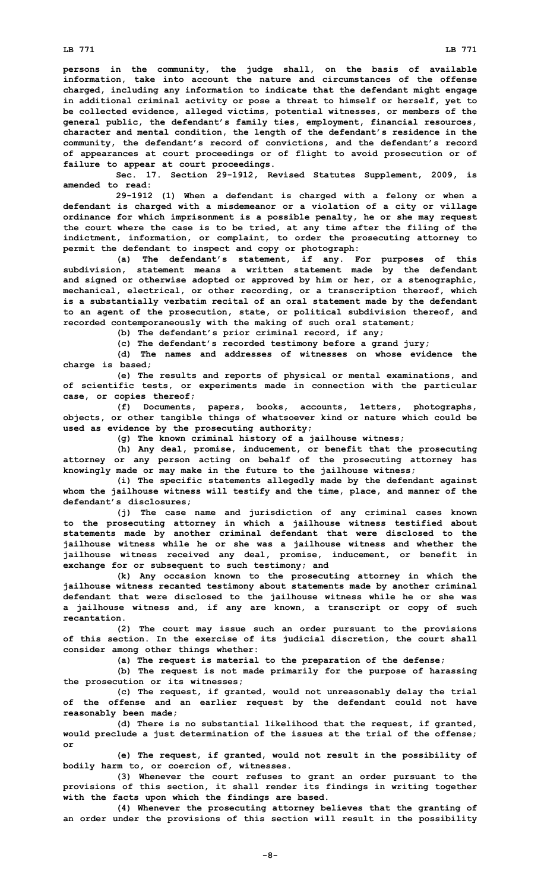**persons in the community, the judge shall, on the basis of available information, take into account the nature and circumstances of the offense charged, including any information to indicate that the defendant might engage in additional criminal activity or pose <sup>a</sup> threat to himself or herself, yet to be collected evidence, alleged victims, potential witnesses, or members of the general public, the defendant's family ties, employment, financial resources, character and mental condition, the length of the defendant's residence in the community, the defendant's record of convictions, and the defendant's record of appearances at court proceedings or of flight to avoid prosecution or of failure to appear at court proceedings.**

**Sec. 17. Section 29-1912, Revised Statutes Supplement, 2009, is amended to read:**

**29-1912 (1) When <sup>a</sup> defendant is charged with <sup>a</sup> felony or when <sup>a</sup> defendant is charged with <sup>a</sup> misdemeanor or <sup>a</sup> violation of <sup>a</sup> city or village ordinance for which imprisonment is <sup>a</sup> possible penalty, he or she may request the court where the case is to be tried, at any time after the filing of the indictment, information, or complaint, to order the prosecuting attorney to permit the defendant to inspect and copy or photograph:**

**(a) The defendant's statement, if any. For purposes of this subdivision, statement means <sup>a</sup> written statement made by the defendant and signed or otherwise adopted or approved by him or her, or <sup>a</sup> stenographic, mechanical, electrical, or other recording, or <sup>a</sup> transcription thereof, which is <sup>a</sup> substantially verbatim recital of an oral statement made by the defendant to an agent of the prosecution, state, or political subdivision thereof, and recorded contemporaneously with the making of such oral statement;**

**(b) The defendant's prior criminal record, if any;**

**(c) The defendant's recorded testimony before <sup>a</sup> grand jury;**

**(d) The names and addresses of witnesses on whose evidence the charge is based;**

**(e) The results and reports of physical or mental examinations, and of scientific tests, or experiments made in connection with the particular case, or copies thereof;**

**(f) Documents, papers, books, accounts, letters, photographs, objects, or other tangible things of whatsoever kind or nature which could be used as evidence by the prosecuting authority;**

**(g) The known criminal history of <sup>a</sup> jailhouse witness;**

**(h) Any deal, promise, inducement, or benefit that the prosecuting attorney or any person acting on behalf of the prosecuting attorney has knowingly made or may make in the future to the jailhouse witness;**

**(i) The specific statements allegedly made by the defendant against whom the jailhouse witness will testify and the time, place, and manner of the defendant's disclosures;**

**(j) The case name and jurisdiction of any criminal cases known to the prosecuting attorney in which <sup>a</sup> jailhouse witness testified about statements made by another criminal defendant that were disclosed to the jailhouse witness while he or she was <sup>a</sup> jailhouse witness and whether the jailhouse witness received any deal, promise, inducement, or benefit in exchange for or subsequent to such testimony; and**

**(k) Any occasion known to the prosecuting attorney in which the jailhouse witness recanted testimony about statements made by another criminal defendant that were disclosed to the jailhouse witness while he or she was <sup>a</sup> jailhouse witness and, if any are known, <sup>a</sup> transcript or copy of such recantation.**

**(2) The court may issue such an order pursuant to the provisions of this section. In the exercise of its judicial discretion, the court shall consider among other things whether:**

**(a) The request is material to the preparation of the defense;**

**(b) The request is not made primarily for the purpose of harassing the prosecution or its witnesses;**

**(c) The request, if granted, would not unreasonably delay the trial of the offense and an earlier request by the defendant could not have reasonably been made;**

**(d) There is no substantial likelihood that the request, if granted, would preclude <sup>a</sup> just determination of the issues at the trial of the offense; or**

**(e) The request, if granted, would not result in the possibility of bodily harm to, or coercion of, witnesses.**

**(3) Whenever the court refuses to grant an order pursuant to the provisions of this section, it shall render its findings in writing together with the facts upon which the findings are based.**

**(4) Whenever the prosecuting attorney believes that the granting of an order under the provisions of this section will result in the possibility**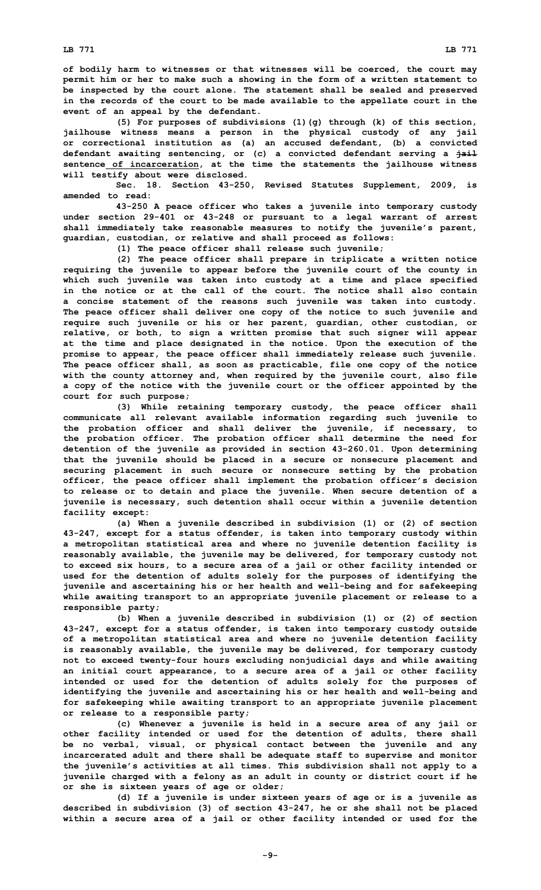**of bodily harm to witnesses or that witnesses will be coerced, the court may permit him or her to make such <sup>a</sup> showing in the form of <sup>a</sup> written statement to be inspected by the court alone. The statement shall be sealed and preserved in the records of the court to be made available to the appellate court in the event of an appeal by the defendant.**

**(5) For purposes of subdivisions (1)(g) through (k) of this section, jailhouse witness means <sup>a</sup> person in the physical custody of any jail or correctional institution as (a) an accused defendant, (b) <sup>a</sup> convicted defendant awaiting sentencing, or (c) <sup>a</sup> convicted defendant serving <sup>a</sup> jail sentence of incarceration, at the time the statements the jailhouse witness will testify about were disclosed.**

**Sec. 18. Section 43-250, Revised Statutes Supplement, 2009, is amended to read:**

**43-250 <sup>A</sup> peace officer who takes <sup>a</sup> juvenile into temporary custody under section 29-401 or 43-248 or pursuant to <sup>a</sup> legal warrant of arrest shall immediately take reasonable measures to notify the juvenile's parent, guardian, custodian, or relative and shall proceed as follows:**

**(1) The peace officer shall release such juvenile;**

**(2) The peace officer shall prepare in triplicate <sup>a</sup> written notice requiring the juvenile to appear before the juvenile court of the county in which such juvenile was taken into custody at <sup>a</sup> time and place specified in the notice or at the call of the court. The notice shall also contain <sup>a</sup> concise statement of the reasons such juvenile was taken into custody. The peace officer shall deliver one copy of the notice to such juvenile and require such juvenile or his or her parent, guardian, other custodian, or relative, or both, to sign <sup>a</sup> written promise that such signer will appear at the time and place designated in the notice. Upon the execution of the promise to appear, the peace officer shall immediately release such juvenile. The peace officer shall, as soon as practicable, file one copy of the notice with the county attorney and, when required by the juvenile court, also file <sup>a</sup> copy of the notice with the juvenile court or the officer appointed by the court for such purpose;**

**(3) While retaining temporary custody, the peace officer shall communicate all relevant available information regarding such juvenile to the probation officer and shall deliver the juvenile, if necessary, to the probation officer. The probation officer shall determine the need for detention of the juvenile as provided in section 43-260.01. Upon determining that the juvenile should be placed in <sup>a</sup> secure or nonsecure placement and securing placement in such secure or nonsecure setting by the probation officer, the peace officer shall implement the probation officer's decision to release or to detain and place the juvenile. When secure detention of <sup>a</sup> juvenile is necessary, such detention shall occur within <sup>a</sup> juvenile detention facility except:**

**(a) When <sup>a</sup> juvenile described in subdivision (1) or (2) of section 43-247, except for <sup>a</sup> status offender, is taken into temporary custody within <sup>a</sup> metropolitan statistical area and where no juvenile detention facility is reasonably available, the juvenile may be delivered, for temporary custody not to exceed six hours, to <sup>a</sup> secure area of <sup>a</sup> jail or other facility intended or used for the detention of adults solely for the purposes of identifying the juvenile and ascertaining his or her health and well-being and for safekeeping while awaiting transport to an appropriate juvenile placement or release to <sup>a</sup> responsible party;**

**(b) When <sup>a</sup> juvenile described in subdivision (1) or (2) of section 43-247, except for <sup>a</sup> status offender, is taken into temporary custody outside of <sup>a</sup> metropolitan statistical area and where no juvenile detention facility is reasonably available, the juvenile may be delivered, for temporary custody not to exceed twenty-four hours excluding nonjudicial days and while awaiting an initial court appearance, to <sup>a</sup> secure area of <sup>a</sup> jail or other facility intended or used for the detention of adults solely for the purposes of identifying the juvenile and ascertaining his or her health and well-being and for safekeeping while awaiting transport to an appropriate juvenile placement or release to <sup>a</sup> responsible party;**

**(c) Whenever <sup>a</sup> juvenile is held in <sup>a</sup> secure area of any jail or other facility intended or used for the detention of adults, there shall be no verbal, visual, or physical contact between the juvenile and any incarcerated adult and there shall be adequate staff to supervise and monitor the juvenile's activities at all times. This subdivision shall not apply to <sup>a</sup> juvenile charged with <sup>a</sup> felony as an adult in county or district court if he or she is sixteen years of age or older;**

**(d) If <sup>a</sup> juvenile is under sixteen years of age or is <sup>a</sup> juvenile as described in subdivision (3) of section 43-247, he or she shall not be placed within <sup>a</sup> secure area of <sup>a</sup> jail or other facility intended or used for the**